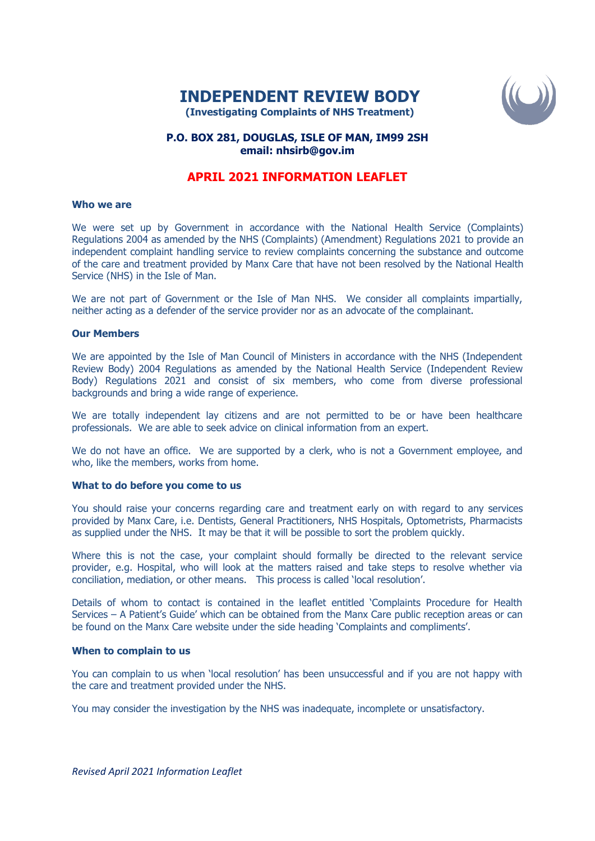**INDEPENDENT REVIEW BODY**



 **(Investigating Complaints of NHS Treatment)**

# **P.O. BOX 281, DOUGLAS, ISLE OF MAN, IM99 2SH email: nhsirb@gov.im**

# **APRIL 2021 INFORMATION LEAFLET**

#### **Who we are**

We were set up by Government in accordance with the National Health Service (Complaints) Regulations 2004 as amended by the NHS (Complaints) (Amendment) Regulations 2021 to provide an independent complaint handling service to review complaints concerning the substance and outcome of the care and treatment provided by Manx Care that have not been resolved by the National Health Service (NHS) in the Isle of Man.

We are not part of Government or the Isle of Man NHS. We consider all complaints impartially, neither acting as a defender of the service provider nor as an advocate of the complainant.

### **Our Members**

We are appointed by the Isle of Man Council of Ministers in accordance with the NHS (Independent Review Body) 2004 Regulations as amended by the National Health Service (Independent Review Body) Regulations 2021 and consist of six members, who come from diverse professional backgrounds and bring a wide range of experience.

We are totally independent lay citizens and are not permitted to be or have been healthcare professionals. We are able to seek advice on clinical information from an expert.

We do not have an office. We are supported by a clerk, who is not a Government employee, and who, like the members, works from home.

### **What to do before you come to us**

You should raise your concerns regarding care and treatment early on with regard to any services provided by Manx Care, i.e. Dentists, General Practitioners, NHS Hospitals, Optometrists, Pharmacists as supplied under the NHS. It may be that it will be possible to sort the problem quickly.

Where this is not the case, your complaint should formally be directed to the relevant service provider, e.g. Hospital, who will look at the matters raised and take steps to resolve whether via conciliation, mediation, or other means. This process is called 'local resolution'.

Details of whom to contact is contained in the leaflet entitled 'Complaints Procedure for Health Services – A Patient's Guide' which can be obtained from the Manx Care public reception areas or can be found on the Manx Care website under the side heading 'Complaints and compliments'.

# **When to complain to us**

You can complain to us when 'local resolution' has been unsuccessful and if you are not happy with the care and treatment provided under the NHS.

You may consider the investigation by the NHS was inadequate, incomplete or unsatisfactory.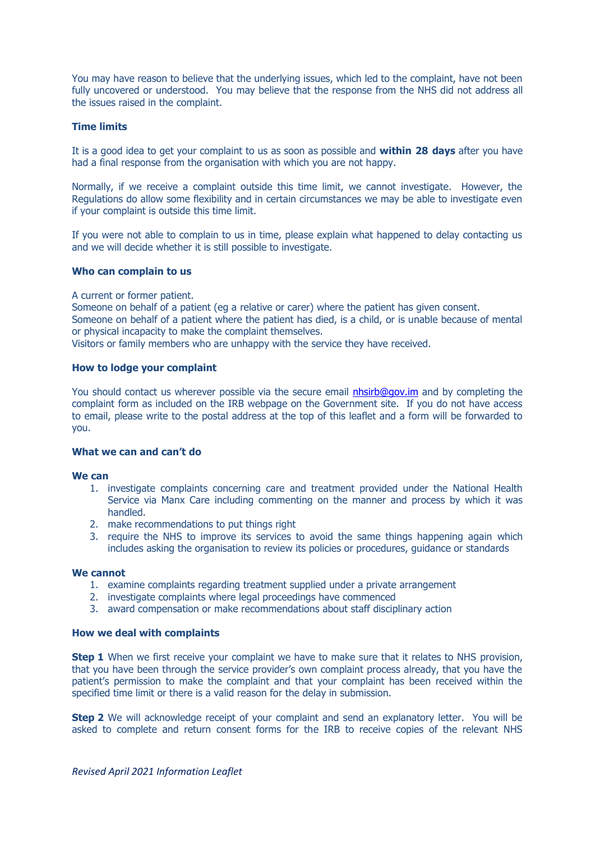You may have reason to believe that the underlying issues, which led to the complaint, have not been fully uncovered or understood. You may believe that the response from the NHS did not address all the issues raised in the complaint.

### **Time limits**

It is a good idea to get your complaint to us as soon as possible and **within 28 days** after you have had a final response from the organisation with which you are not happy.

Normally, if we receive a complaint outside this time limit, we cannot investigate. However, the Regulations do allow some flexibility and in certain circumstances we may be able to investigate even if your complaint is outside this time limit.

If you were not able to complain to us in time, please explain what happened to delay contacting us and we will decide whether it is still possible to investigate.

### **Who can complain to us**

A current or former patient.

Someone on behalf of a patient (eg a relative or carer) where the patient has given consent. Someone on behalf of a patient where the patient has died, is a child, or is unable because of mental or physical incapacity to make the complaint themselves.

Visitors or family members who are unhappy with the service they have received.

# **How to lodge your complaint**

You should contact us wherever possible via the secure email [nhsirb@gov.im](mailto:nhsirb@gov.im) and by completing the complaint form as included on the IRB webpage on the Government site. If you do not have access to email, please write to the postal address at the top of this leaflet and a form will be forwarded to you.

# **What we can and can't do**

### **We can**

- 1. investigate complaints concerning care and treatment provided under the National Health Service via Manx Care including commenting on the manner and process by which it was handled.
- 2. make recommendations to put things right
- 3. require the NHS to improve its services to avoid the same things happening again which includes asking the organisation to review its policies or procedures, guidance or standards

### **We cannot**

- 1. examine complaints regarding treatment supplied under a private arrangement
- 2. investigate complaints where legal proceedings have commenced
- 3. award compensation or make recommendations about staff disciplinary action

### **How we deal with complaints**

**Step 1** When we first receive your complaint we have to make sure that it relates to NHS provision, that you have been through the service provider's own complaint process already, that you have the patient's permission to make the complaint and that your complaint has been received within the specified time limit or there is a valid reason for the delay in submission.

**Step 2** We will acknowledge receipt of your complaint and send an explanatory letter. You will be asked to complete and return consent forms for the IRB to receive copies of the relevant NHS